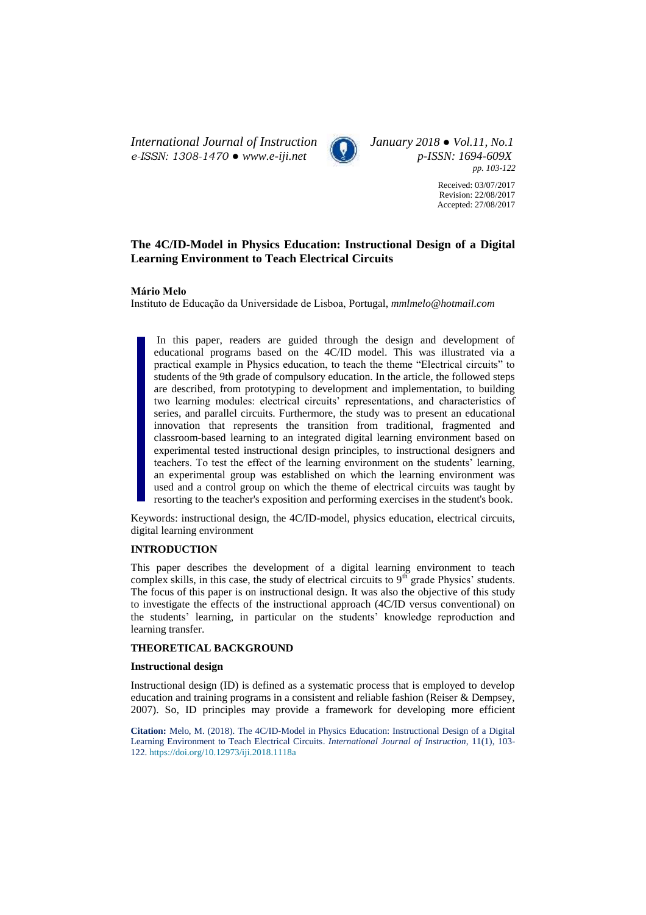*International Journal of Instruction January 2018 ● Vol.11, No.1 e-ISSN: 1308-1470 ● [www.e-iji.net](http://www.e-iji.net/) p-ISSN: 1694-609X*



*pp. 103-122*

Received: 03/07/2017 Revision: 22/08/2017 Accepted: 27/08/2017

# **The 4C/ID-Model in Physics Education: Instructional Design of a Digital Learning Environment to Teach Electrical Circuits**

## **Mário Melo**

Instituto de Educação da Universidade de Lisboa, Portugal, *mmlmelo@hotmail.com*

In this paper, readers are guided through the design and development of educational programs based on the 4C/ID model. This was illustrated via a practical example in Physics education, to teach the theme "Electrical circuits" to students of the 9th grade of compulsory education. In the article, the followed steps are described, from prototyping to development and implementation, to building two learning modules: electrical circuits' representations, and characteristics of series, and parallel circuits. Furthermore, the study was to present an educational innovation that represents the transition from traditional, fragmented and classroom-based learning to an integrated digital learning environment based on experimental tested instructional design principles, to instructional designers and teachers. To test the effect of the learning environment on the students' learning, an experimental group was established on which the learning environment was used and a control group on which the theme of electrical circuits was taught by resorting to the teacher's exposition and performing exercises in the student's book.

Keywords: instructional design, the 4C/ID-model, physics education, electrical circuits, digital learning environment

# **INTRODUCTION**

This paper describes the development of a digital learning environment to teach complex skills, in this case, the study of electrical circuits to  $9<sup>th</sup>$  grade Physics' students. The focus of this paper is on instructional design. It was also the objective of this study to investigate the effects of the instructional approach (4C/ID versus conventional) on the students' learning, in particular on the students' knowledge reproduction and learning transfer.

# **THEORETICAL BACKGROUND**

#### **Instructional design**

Instructional design (ID) is defined as a systematic process that is employed to develop education and training programs in a consistent and reliable fashion (Reiser & Dempsey, 2007). So, ID principles may provide a framework for developing more efficient

**Citation:** Melo, M. (2018). The 4C/ID-Model in Physics Education: Instructional Design of a Digital Learning Environment to Teach Electrical Circuits. *International Journal of Instruction*, 11(1), 103- 122. <https://doi.org/10.12973/iji.2018.1118a>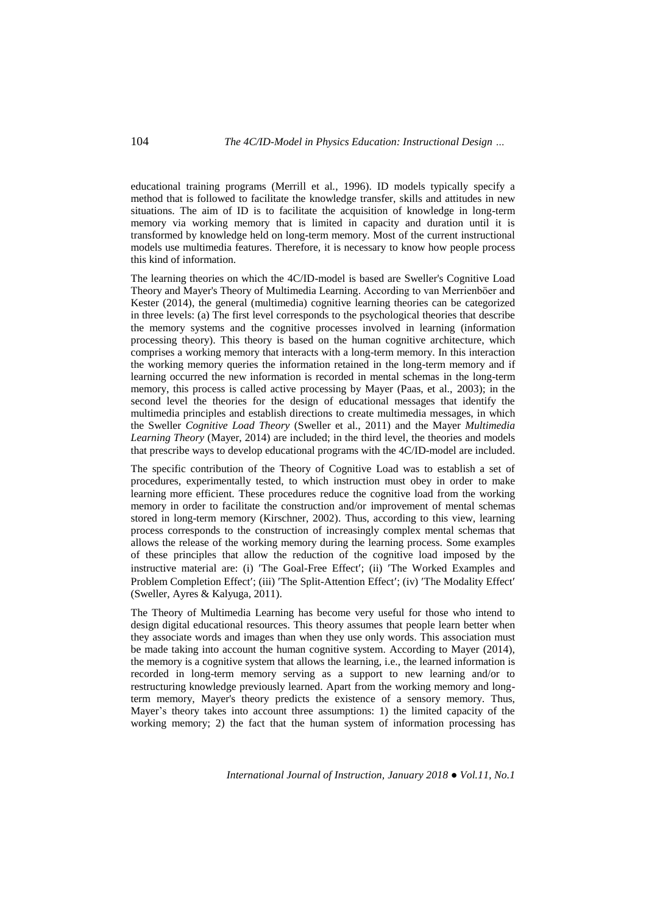educational training programs (Merrill et al*.*, 1996). ID models typically specify a method that is followed to facilitate the knowledge transfer, skills and attitudes in new situations. The aim of ID is to facilitate the acquisition of knowledge in long-term memory via working memory that is limited in capacity and duration until it is transformed by knowledge held on long-term memory. Most of the current instructional models use multimedia features. Therefore, it is necessary to know how people process this kind of information.

The learning theories on which the 4C/ID-model is based are Sweller's Cognitive Load Theory and Mayer's Theory of Multimedia Learning. According to van Merrienböer and Kester (2014), the general (multimedia) cognitive learning theories can be categorized in three levels: (a) The first level corresponds to the psychological theories that describe the memory systems and the cognitive processes involved in learning (information processing theory). This theory is based on the human cognitive architecture, which comprises a working memory that interacts with a long-term memory. In this interaction the working memory queries the information retained in the long-term memory and if learning occurred the new information is recorded in mental schemas in the long-term memory, this process is called active processing by Mayer (Paas, et al., 2003); in the second level the theories for the design of educational messages that identify the multimedia principles and establish directions to create multimedia messages, in which the Sweller *Cognitive Load Theory* (Sweller et al., 2011) and the Mayer *Multimedia Learning Theory* (Mayer, 2014) are included; in the third level, the theories and models that prescribe ways to develop educational programs with the 4C/ID-model are included.

The specific contribution of the Theory of Cognitive Load was to establish a set of procedures, experimentally tested, to which instruction must obey in order to make learning more efficient. These procedures reduce the cognitive load from the working memory in order to facilitate the construction and/or improvement of mental schemas stored in long-term memory (Kirschner, 2002). Thus, according to this view, learning process corresponds to the construction of increasingly complex mental schemas that allows the release of the working memory during the learning process. Some examples of these principles that allow the reduction of the cognitive load imposed by the instructive material are: (i) 'The Goal-Free Effect'; (ii) 'The Worked Examples and Problem Completion Effect'; (iii) 'The Split-Attention Effect'; (iv) 'The Modality Effect' (Sweller, Ayres & Kalyuga, 2011).

The Theory of Multimedia Learning has become very useful for those who intend to design digital educational resources. This theory assumes that people learn better when they associate words and images than when they use only words. This association must be made taking into account the human cognitive system. According to Mayer (2014), the memory is a cognitive system that allows the learning, i.e., the learned information is recorded in long-term memory serving as a support to new learning and/or to restructuring knowledge previously learned. Apart from the working memory and longterm memory, Mayer's theory predicts the existence of a sensory memory. Thus, Mayer's theory takes into account three assumptions: 1) the limited capacity of the working memory; 2) the fact that the human system of information processing has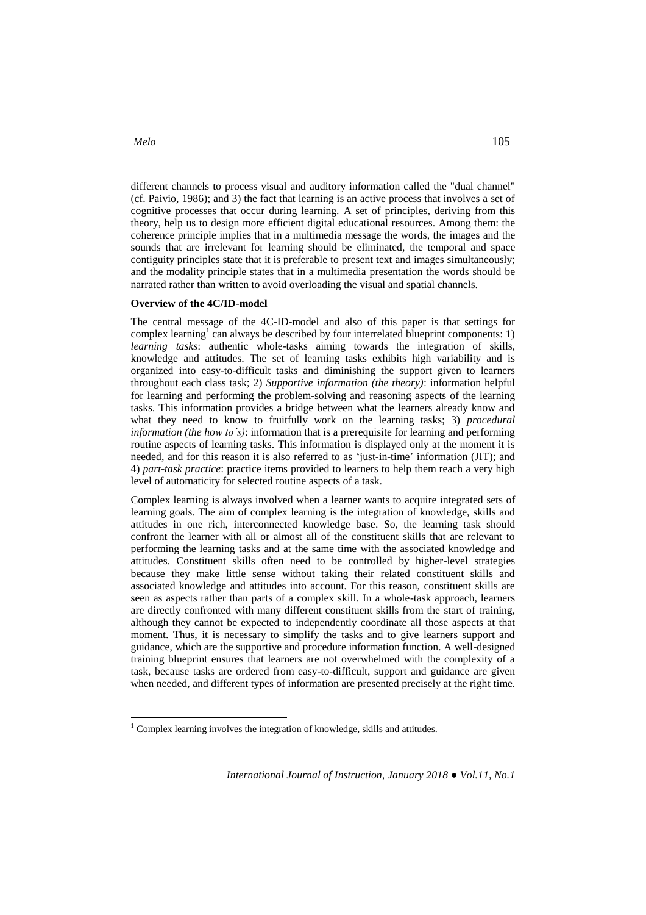$\overline{a}$ 

different channels to process visual and auditory information called the "dual channel" (cf. Paivio, 1986); and 3) the fact that learning is an active process that involves a set of cognitive processes that occur during learning. A set of principles, deriving from this theory, help us to design more efficient digital educational resources. Among them: the coherence principle implies that in a multimedia message the words, the images and the sounds that are irrelevant for learning should be eliminated, the temporal and space contiguity principles state that it is preferable to present text and images simultaneously; and the modality principle states that in a multimedia presentation the words should be narrated rather than written to avoid overloading the visual and spatial channels.

## **Overview of the 4C/ID-model**

The central message of the 4C-ID-model and also of this paper is that settings for complex learning<sup>1</sup> can always be described by four interrelated blueprint components: 1) *learning tasks*: authentic whole-tasks aiming towards the integration of skills, knowledge and attitudes. The set of learning tasks exhibits high variability and is organized into easy-to-difficult tasks and diminishing the support given to learners throughout each class task; 2) *Supportive information (the theory)*: information helpful for learning and performing the problem-solving and reasoning aspects of the learning tasks. This information provides a bridge between what the learners already know and what they need to know to fruitfully work on the learning tasks; 3) *procedural information (the how to´s)*: information that is a prerequisite for learning and performing routine aspects of learning tasks. This information is displayed only at the moment it is needed, and for this reason it is also referred to as 'just-in-time' information (JIT); and 4) *part-task practice*: practice items provided to learners to help them reach a very high level of automaticity for selected routine aspects of a task.

Complex learning is always involved when a learner wants to acquire integrated sets of learning goals. The aim of complex learning is the integration of knowledge, skills and attitudes in one rich, interconnected knowledge base. So, the learning task should confront the learner with all or almost all of the constituent skills that are relevant to performing the learning tasks and at the same time with the associated knowledge and attitudes. Constituent skills often need to be controlled by higher-level strategies because they make little sense without taking their related constituent skills and associated knowledge and attitudes into account. For this reason, constituent skills are seen as aspects rather than parts of a complex skill. In a whole-task approach, learners are directly confronted with many different constituent skills from the start of training, although they cannot be expected to independently coordinate all those aspects at that moment. Thus, it is necessary to simplify the tasks and to give learners support and guidance, which are the supportive and procedure information function. A well-designed training blueprint ensures that learners are not overwhelmed with the complexity of a task, because tasks are ordered from easy-to-difficult, support and guidance are given when needed, and different types of information are presented precisely at the right time.

 $1$  Complex learning involves the integration of knowledge, skills and attitudes.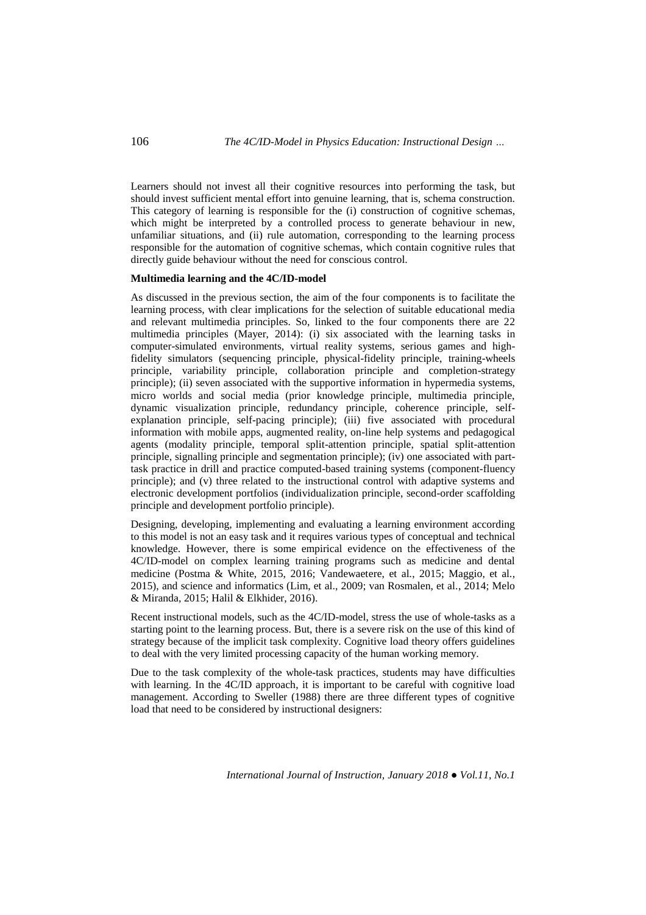Learners should not invest all their cognitive resources into performing the task, but should invest sufficient mental effort into genuine learning, that is, schema construction. This category of learning is responsible for the (i) construction of cognitive schemas, which might be interpreted by a controlled process to generate behaviour in new, unfamiliar situations, and (ii) rule automation, corresponding to the learning process responsible for the automation of cognitive schemas, which contain cognitive rules that directly guide behaviour without the need for conscious control.

## **Multimedia learning and the 4C/ID-model**

As discussed in the previous section, the aim of the four components is to facilitate the learning process, with clear implications for the selection of suitable educational media and relevant multimedia principles. So, linked to the four components there are 22 multimedia principles (Mayer, 2014): (i) six associated with the learning tasks in computer-simulated environments, virtual reality systems, serious games and highfidelity simulators (sequencing principle, physical-fidelity principle, training-wheels principle, variability principle, collaboration principle and completion-strategy principle); (ii) seven associated with the supportive information in hypermedia systems, micro worlds and social media (prior knowledge principle, multimedia principle, dynamic visualization principle, redundancy principle, coherence principle, selfexplanation principle, self-pacing principle); (iii) five associated with procedural information with mobile apps, augmented reality, on-line help systems and pedagogical agents (modality principle, temporal split-attention principle, spatial split-attention principle, signalling principle and segmentation principle); (iv) one associated with parttask practice in drill and practice computed-based training systems (component-fluency principle); and (v) three related to the instructional control with adaptive systems and electronic development portfolios (individualization principle, second-order scaffolding principle and development portfolio principle).

Designing, developing, implementing and evaluating a learning environment according to this model is not an easy task and it requires various types of conceptual and technical knowledge. However, there is some empirical evidence on the effectiveness of the 4C/ID-model on complex learning training programs such as medicine and dental medicine (Postma & White, 2015, 2016; Vandewaetere, et al*.*, 2015; Maggio, et al*.*, 2015), and science and informatics (Lim, et al., 2009; van Rosmalen, et al*.*, 2014; Melo & Miranda, 2015; Halil & Elkhider, 2016).

Recent instructional models, such as the 4C/ID-model, stress the use of whole-tasks as a starting point to the learning process. But, there is a severe risk on the use of this kind of strategy because of the implicit task complexity. Cognitive load theory offers guidelines to deal with the very limited processing capacity of the human working memory.

Due to the task complexity of the whole-task practices, students may have difficulties with learning. In the 4C/ID approach, it is important to be careful with cognitive load management. According to Sweller (1988) there are three different types of cognitive load that need to be considered by instructional designers: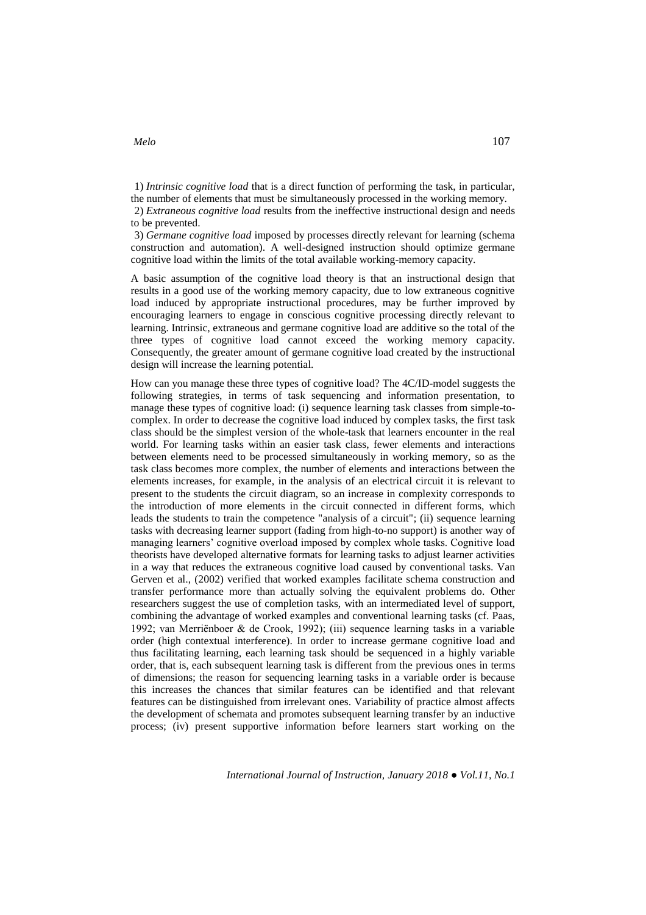## 1) *Intrinsic cognitive load* that is a direct function of performing the task, in particular, the number of elements that must be simultaneously processed in the working memory. 2) *Extraneous cognitive load* results from the ineffective instructional design and needs to be prevented.

3) *Germane cognitive load* imposed by processes directly relevant for learning (schema construction and automation). A well-designed instruction should optimize germane cognitive load within the limits of the total available working-memory capacity.

A basic assumption of the cognitive load theory is that an instructional design that results in a good use of the working memory capacity, due to low extraneous cognitive load induced by appropriate instructional procedures, may be further improved by encouraging learners to engage in conscious cognitive processing directly relevant to learning. Intrinsic, extraneous and germane cognitive load are additive so the total of the three types of cognitive load cannot exceed the working memory capacity. Consequently, the greater amount of germane cognitive load created by the instructional design will increase the learning potential.

How can you manage these three types of cognitive load? The 4C/ID-model suggests the following strategies, in terms of task sequencing and information presentation, to manage these types of cognitive load: (i) sequence learning task classes from simple-tocomplex. In order to decrease the cognitive load induced by complex tasks, the first task class should be the simplest version of the whole-task that learners encounter in the real world. For learning tasks within an easier task class, fewer elements and interactions between elements need to be processed simultaneously in working memory, so as the task class becomes more complex, the number of elements and interactions between the elements increases, for example, in the analysis of an electrical circuit it is relevant to present to the students the circuit diagram, so an increase in complexity corresponds to the introduction of more elements in the circuit connected in different forms, which leads the students to train the competence "analysis of a circuit"; (ii) sequence learning tasks with decreasing learner support (fading from high-to-no support) is another way of managing learners' cognitive overload imposed by complex whole tasks. Cognitive load theorists have developed alternative formats for learning tasks to adjust learner activities in a way that reduces the extraneous cognitive load caused by conventional tasks. Van Gerven et al., (2002) verified that worked examples facilitate schema construction and transfer performance more than actually solving the equivalent problems do. Other researchers suggest the use of completion tasks, with an intermediated level of support, combining the advantage of worked examples and conventional learning tasks (cf. Paas, 1992; van Merriënboer & de Crook, 1992); (iii) sequence learning tasks in a variable order (high contextual interference). In order to increase germane cognitive load and thus facilitating learning, each learning task should be sequenced in a highly variable order, that is, each subsequent learning task is different from the previous ones in terms of dimensions; the reason for sequencing learning tasks in a variable order is because this increases the chances that similar features can be identified and that relevant features can be distinguished from irrelevant ones. Variability of practice almost affects the development of schemata and promotes subsequent learning transfer by an inductive process; (iv) present supportive information before learners start working on the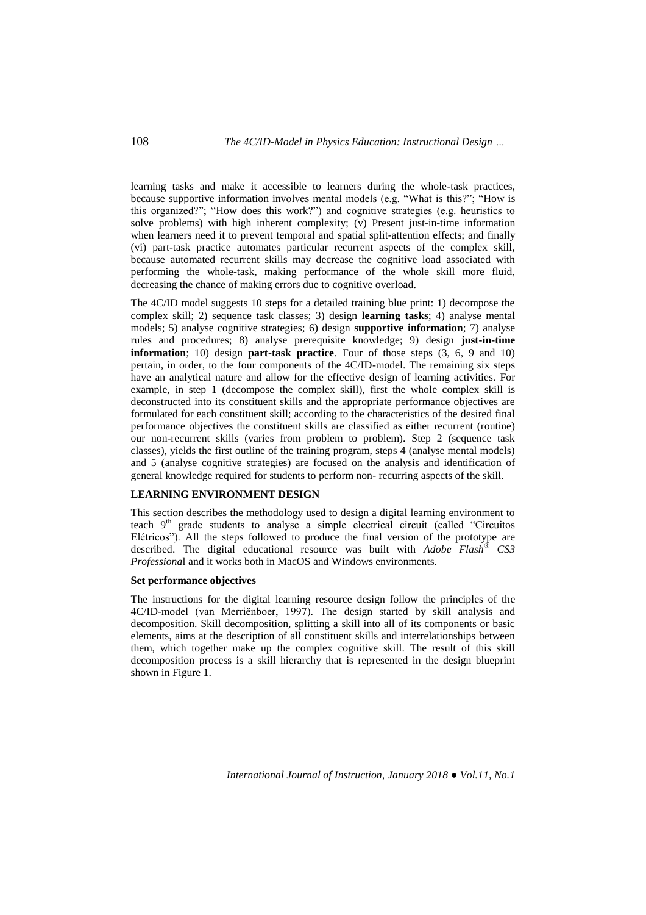learning tasks and make it accessible to learners during the whole-task practices, because supportive information involves mental models (e.g. "What is this?"; "How is this organized?"; "How does this work?") and cognitive strategies (e.g. heuristics to solve problems) with high inherent complexity; (v) Present just-in-time information when learners need it to prevent temporal and spatial split-attention effects; and finally (vi) part-task practice automates particular recurrent aspects of the complex skill, because automated recurrent skills may decrease the cognitive load associated with performing the whole-task, making performance of the whole skill more fluid, decreasing the chance of making errors due to cognitive overload.

The 4C/ID model suggests 10 steps for a detailed training blue print: 1) decompose the complex skill; 2) sequence task classes; 3) design **learning tasks**; 4) analyse mental models; 5) analyse cognitive strategies; 6) design **supportive information**; 7) analyse rules and procedures; 8) analyse prerequisite knowledge; 9) design **just-in-time information**; 10) design **part-task practice**. Four of those steps  $(3, 6, 9, 10)$ pertain, in order, to the four components of the 4C/ID-model. The remaining six steps have an analytical nature and allow for the effective design of learning activities. For example, in step 1 (decompose the complex skill), first the whole complex skill is deconstructed into its constituent skills and the appropriate performance objectives are formulated for each constituent skill; according to the characteristics of the desired final performance objectives the constituent skills are classified as either recurrent (routine) our non-recurrent skills (varies from problem to problem). Step 2 (sequence task classes), yields the first outline of the training program, steps 4 (analyse mental models) and 5 (analyse cognitive strategies) are focused on the analysis and identification of general knowledge required for students to perform non- recurring aspects of the skill.

## **LEARNING ENVIRONMENT DESIGN**

This section describes the methodology used to design a digital learning environment to teach  $9<sup>th</sup>$  grade students to analyse a simple electrical circuit (called "Circuitos Elétricos"). All the steps followed to produce the final version of the prototype are described. The digital educational resource was built with *Adobe Flash® CS3 Professiona*l and it works both in MacOS and Windows environments.

### **Set performance objectives**

The instructions for the digital learning resource design follow the principles of the 4C/ID-model (van Merriënboer, 1997). The design started by skill analysis and decomposition. Skill decomposition, splitting a skill into all of its components or basic elements, aims at the description of all constituent skills and interrelationships between them, which together make up the complex cognitive skill. The result of this skill decomposition process is a skill hierarchy that is represented in the design blueprint shown in Figure 1.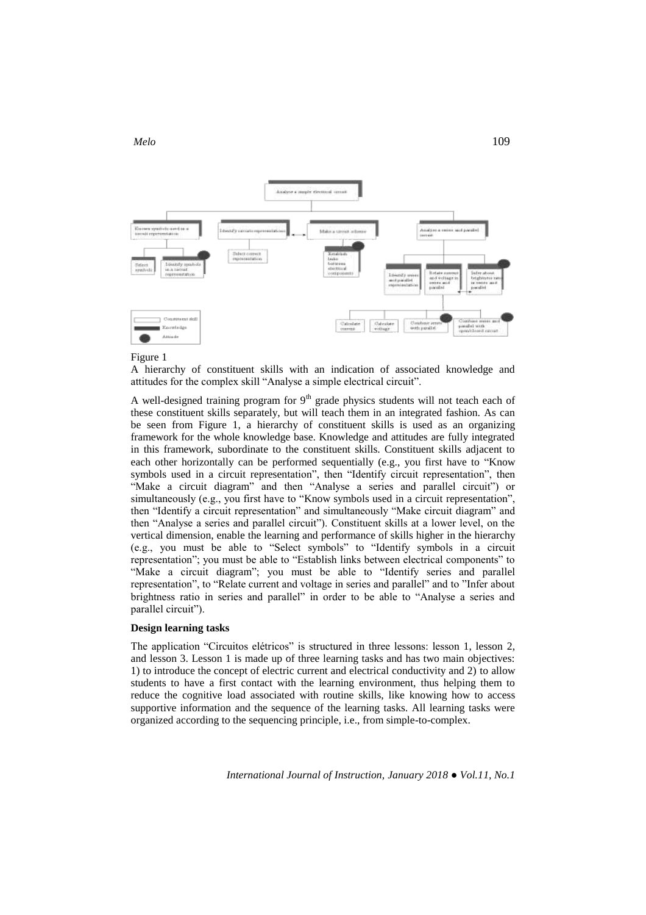

#### Figure 1

A hierarchy of constituent skills with an indication of associated knowledge and attitudes for the complex skill "Analyse a simple electrical circuit".

A well-designed training program for  $9<sup>th</sup>$  grade physics students will not teach each of these constituent skills separately, but will teach them in an integrated fashion. As can be seen from Figure 1, a hierarchy of constituent skills is used as an organizing framework for the whole knowledge base. Knowledge and attitudes are fully integrated in this framework, subordinate to the constituent skills. Constituent skills adjacent to each other horizontally can be performed sequentially (e.g., you first have to "Know symbols used in a circuit representation", then "Identify circuit representation", then "Make a circuit diagram" and then "Analyse a series and parallel circuit") or simultaneously (e.g., you first have to "Know symbols used in a circuit representation", then "Identify a circuit representation" and simultaneously "Make circuit diagram" and then "Analyse a series and parallel circuit"). Constituent skills at a lower level, on the vertical dimension, enable the learning and performance of skills higher in the hierarchy (e.g., you must be able to "Select symbols" to "Identify symbols in a circuit representation"; you must be able to "Establish links between electrical components" to "Make a circuit diagram"; you must be able to "Identify series and parallel representation", to "Relate current and voltage in series and parallel" and to "Infer about brightness ratio in series and parallel" in order to be able to "Analyse a series and parallel circuit").

### **Design learning tasks**

The application "Circuitos elétricos" is structured in three lessons: lesson 1, lesson 2, and lesson 3. Lesson 1 is made up of three learning tasks and has two main objectives: 1) to introduce the concept of electric current and electrical conductivity and 2) to allow students to have a first contact with the learning environment, thus helping them to reduce the cognitive load associated with routine skills, like knowing how to access supportive information and the sequence of the learning tasks. All learning tasks were organized according to the sequencing principle, i.e., from simple-to-complex.

*Melo* 109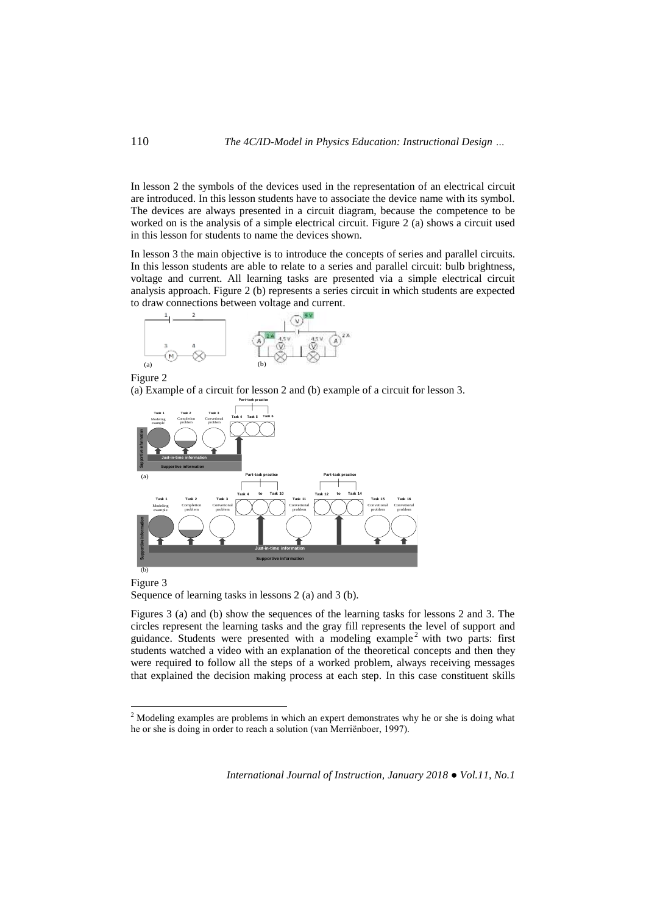In lesson 2 the symbols of the devices used in the representation of an electrical circuit are introduced. In this lesson students have to associate the device name with its symbol. The devices are always presented in a circuit diagram, because the competence to be worked on is the analysis of a simple electrical circuit. Figure 2 (a) shows a circuit used in this lesson for students to name the devices shown.

In lesson 3 the main objective is to introduce the concepts of series and parallel circuits. In this lesson students are able to relate to a series and parallel circuit: bulb brightness, voltage and current. All learning tasks are presented via a simple electrical circuit analysis approach. Figure 2 (b) represents a series circuit in which students are expected to draw connections between voltage and current.



Figure 2

(a) Example of a circuit for lesson 2 and (b) example of a circuit for lesson 3.



(b) Figure 3

 $\overline{a}$ 

Sequence of learning tasks in lessons 2 (a) and 3 (b).

Figures 3 (a) and (b) show the sequences of the learning tasks for lessons 2 and 3. The circles represent the learning tasks and the gray fill represents the level of support and guidance. Students were presented with a modeling example<sup>2</sup> with two parts: first students watched a video with an explanation of the theoretical concepts and then they were required to follow all the steps of a worked problem, always receiving messages that explained the decision making process at each step. In this case constituent skills

<sup>&</sup>lt;sup>2</sup> Modeling examples are problems in which an expert demonstrates why he or she is doing what he or she is doing in order to reach a solution (van Merriënboer, 1997).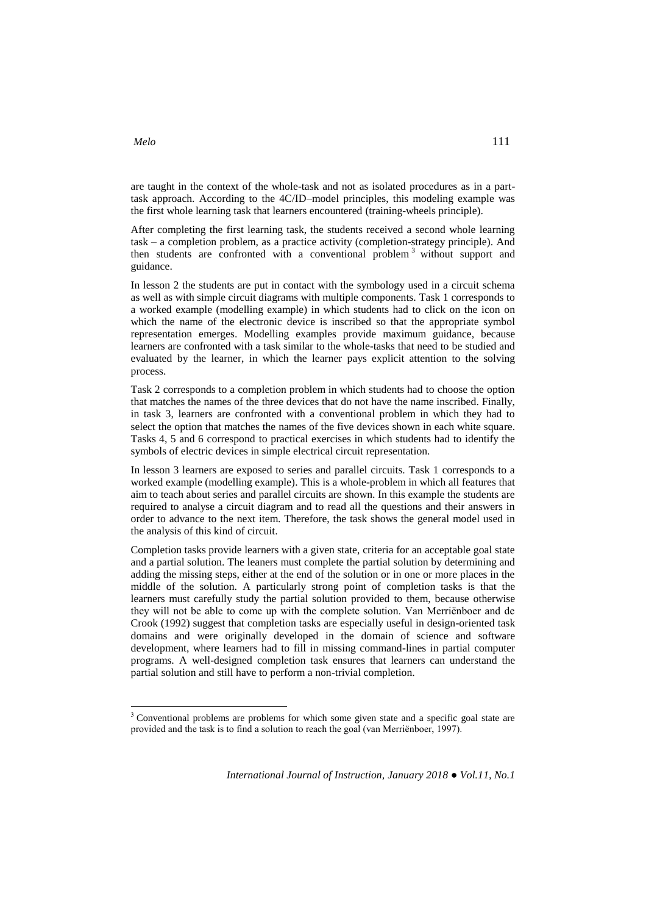$\overline{a}$ 

are taught in the context of the whole-task and not as isolated procedures as in a parttask approach. According to the 4C/ID–model principles, this modeling example was the first whole learning task that learners encountered (training-wheels principle).

After completing the first learning task, the students received a second whole learning task – a completion problem, as a practice activity (completion-strategy principle). And then students are confronted with a conventional problem  $3$  without support and guidance.

In lesson 2 the students are put in contact with the symbology used in a circuit schema as well as with simple circuit diagrams with multiple components. Task 1 corresponds to a worked example (modelling example) in which students had to click on the icon on which the name of the electronic device is inscribed so that the appropriate symbol representation emerges. Modelling examples provide maximum guidance, because learners are confronted with a task similar to the whole-tasks that need to be studied and evaluated by the learner, in which the learner pays explicit attention to the solving process.

Task 2 corresponds to a completion problem in which students had to choose the option that matches the names of the three devices that do not have the name inscribed. Finally, in task 3, learners are confronted with a conventional problem in which they had to select the option that matches the names of the five devices shown in each white square. Tasks 4, 5 and 6 correspond to practical exercises in which students had to identify the symbols of electric devices in simple electrical circuit representation.

In lesson 3 learners are exposed to series and parallel circuits. Task 1 corresponds to a worked example (modelling example). This is a whole-problem in which all features that aim to teach about series and parallel circuits are shown. In this example the students are required to analyse a circuit diagram and to read all the questions and their answers in order to advance to the next item. Therefore, the task shows the general model used in the analysis of this kind of circuit.

Completion tasks provide learners with a given state, criteria for an acceptable goal state and a partial solution. The leaners must complete the partial solution by determining and adding the missing steps, either at the end of the solution or in one or more places in the middle of the solution. A particularly strong point of completion tasks is that the learners must carefully study the partial solution provided to them, because otherwise they will not be able to come up with the complete solution. Van Merriënboer and de Crook (1992) suggest that completion tasks are especially useful in design-oriented task domains and were originally developed in the domain of science and software development, where learners had to fill in missing command-lines in partial computer programs. A well-designed completion task ensures that learners can understand the partial solution and still have to perform a non-trivial completion.

 $3$  Conventional problems are problems for which some given state and a specific goal state are provided and the task is to find a solution to reach the goal (van Merriënboer, 1997).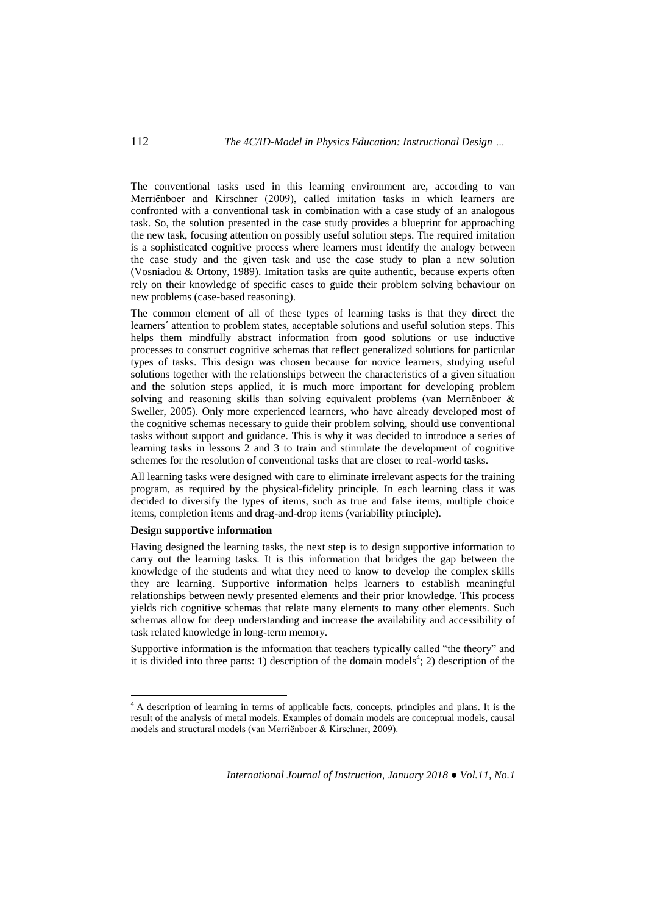The conventional tasks used in this learning environment are, according to van Merriënboer and Kirschner (2009), called imitation tasks in which learners are confronted with a conventional task in combination with a case study of an analogous task. So, the solution presented in the case study provides a blueprint for approaching the new task, focusing attention on possibly useful solution steps. The required imitation is a sophisticated cognitive process where learners must identify the analogy between the case study and the given task and use the case study to plan a new solution (Vosniadou & Ortony, 1989). Imitation tasks are quite authentic, because experts often rely on their knowledge of specific cases to guide their problem solving behaviour on new problems (case-based reasoning).

The common element of all of these types of learning tasks is that they direct the learners´ attention to problem states, acceptable solutions and useful solution steps. This helps them mindfully abstract information from good solutions or use inductive processes to construct cognitive schemas that reflect generalized solutions for particular types of tasks. This design was chosen because for novice learners, studying useful solutions together with the relationships between the characteristics of a given situation and the solution steps applied, it is much more important for developing problem solving and reasoning skills than solving equivalent problems (van Merriënboer  $\&$ Sweller, 2005). Only more experienced learners, who have already developed most of the cognitive schemas necessary to guide their problem solving, should use conventional tasks without support and guidance. This is why it was decided to introduce a series of learning tasks in lessons 2 and 3 to train and stimulate the development of cognitive schemes for the resolution of conventional tasks that are closer to real-world tasks.

All learning tasks were designed with care to eliminate irrelevant aspects for the training program, as required by the physical-fidelity principle. In each learning class it was decided to diversify the types of items, such as true and false items, multiple choice items, completion items and drag-and-drop items (variability principle).

## **Design supportive information**

 $\overline{a}$ 

Having designed the learning tasks, the next step is to design supportive information to carry out the learning tasks. It is this information that bridges the gap between the knowledge of the students and what they need to know to develop the complex skills they are learning. Supportive information helps learners to establish meaningful relationships between newly presented elements and their prior knowledge. This process yields rich cognitive schemas that relate many elements to many other elements. Such schemas allow for deep understanding and increase the availability and accessibility of task related knowledge in long-term memory.

Supportive information is the information that teachers typically called "the theory" and it is divided into three parts: 1) description of the domain models<sup>4</sup>; 2) description of the

<sup>&</sup>lt;sup>4</sup> A description of learning in terms of applicable facts, concepts, principles and plans. It is the result of the analysis of metal models. Examples of domain models are conceptual models, causal models and structural models (van Merriënboer & Kirschner, 2009).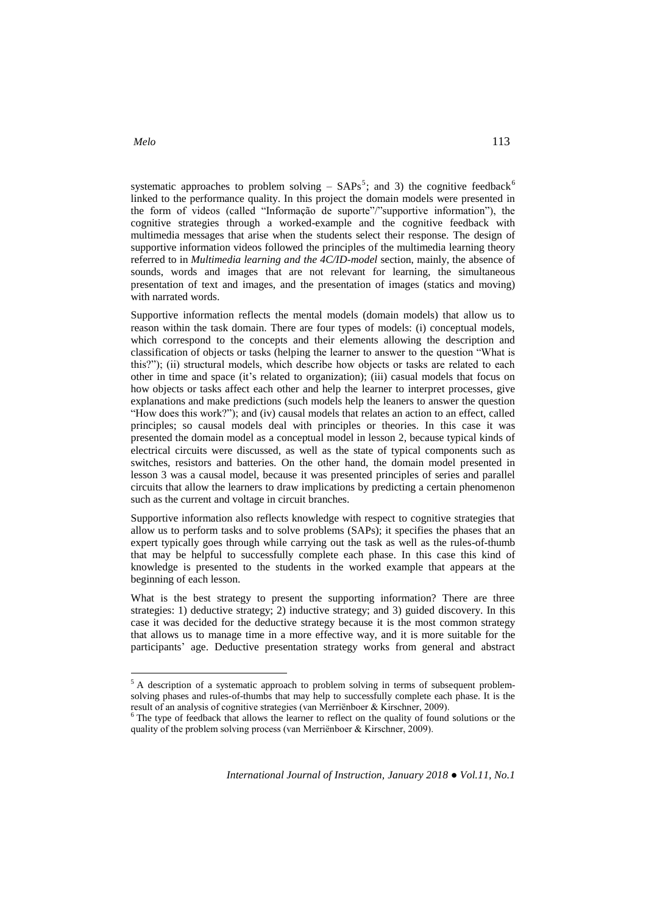$\overline{a}$ 

systematic approaches to problem solving  $-$  SAPs<sup>5</sup>; and 3) the cognitive feedback<sup>6</sup> linked to the performance quality. In this project the domain models were presented in the form of videos (called "Informação de suporte"/"supportive information"), the cognitive strategies through a worked-example and the cognitive feedback with multimedia messages that arise when the students select their response. The design of supportive information videos followed the principles of the multimedia learning theory referred to in *Multimedia learning and the 4C/ID-model* section, mainly, the absence of sounds, words and images that are not relevant for learning, the simultaneous presentation of text and images, and the presentation of images (statics and moving) with narrated words.

Supportive information reflects the mental models (domain models) that allow us to reason within the task domain. There are four types of models: (i) conceptual models, which correspond to the concepts and their elements allowing the description and classification of objects or tasks (helping the learner to answer to the question "What is this?"); (ii) structural models, which describe how objects or tasks are related to each other in time and space (it's related to organization); (iii) casual models that focus on how objects or tasks affect each other and help the learner to interpret processes, give explanations and make predictions (such models help the leaners to answer the question "How does this work?"); and (iv) causal models that relates an action to an effect, called principles; so causal models deal with principles or theories. In this case it was presented the domain model as a conceptual model in lesson 2, because typical kinds of electrical circuits were discussed, as well as the state of typical components such as switches, resistors and batteries. On the other hand, the domain model presented in lesson 3 was a causal model, because it was presented principles of series and parallel circuits that allow the learners to draw implications by predicting a certain phenomenon such as the current and voltage in circuit branches.

Supportive information also reflects knowledge with respect to cognitive strategies that allow us to perform tasks and to solve problems (SAPs); it specifies the phases that an expert typically goes through while carrying out the task as well as the rules-of-thumb that may be helpful to successfully complete each phase. In this case this kind of knowledge is presented to the students in the worked example that appears at the beginning of each lesson.

What is the best strategy to present the supporting information? There are three strategies: 1) deductive strategy; 2) inductive strategy; and 3) guided discovery. In this case it was decided for the deductive strategy because it is the most common strategy that allows us to manage time in a more effective way, and it is more suitable for the participants' age. Deductive presentation strategy works from general and abstract

<sup>5</sup> A description of a systematic approach to problem solving in terms of subsequent problemsolving phases and rules-of-thumbs that may help to successfully complete each phase. It is the result of an analysis of cognitive strategies (van Merriënboer & Kirschner, 2009).

<sup>&</sup>lt;sup>6</sup> The type of feedback that allows the learner to reflect on the quality of found solutions or the quality of the problem solving process (van Merriënboer & Kirschner, 2009).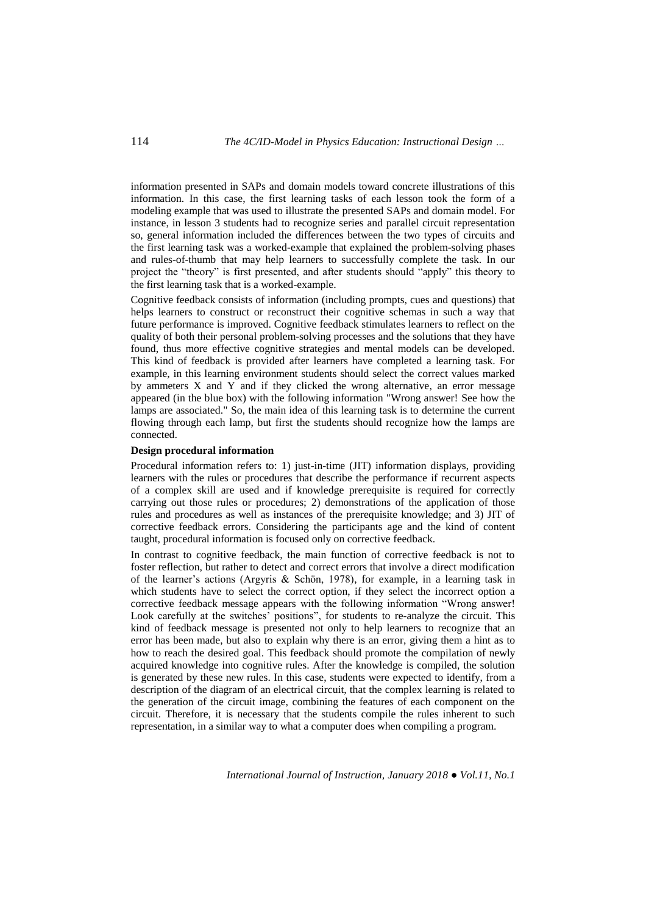information presented in SAPs and domain models toward concrete illustrations of this information. In this case, the first learning tasks of each lesson took the form of a modeling example that was used to illustrate the presented SAPs and domain model. For instance, in lesson 3 students had to recognize series and parallel circuit representation so, general information included the differences between the two types of circuits and the first learning task was a worked-example that explained the problem-solving phases and rules-of-thumb that may help learners to successfully complete the task. In our project the "theory" is first presented, and after students should "apply" this theory to the first learning task that is a worked-example.

Cognitive feedback consists of information (including prompts, cues and questions) that helps learners to construct or reconstruct their cognitive schemas in such a way that future performance is improved. Cognitive feedback stimulates learners to reflect on the quality of both their personal problem-solving processes and the solutions that they have found, thus more effective cognitive strategies and mental models can be developed. This kind of feedback is provided after learners have completed a learning task. For example, in this learning environment students should select the correct values marked by ammeters X and Y and if they clicked the wrong alternative, an error message appeared (in the blue box) with the following information "Wrong answer! See how the lamps are associated." So, the main idea of this learning task is to determine the current flowing through each lamp, but first the students should recognize how the lamps are connected.

#### **Design procedural information**

Procedural information refers to: 1) just-in-time (JIT) information displays, providing learners with the rules or procedures that describe the performance if recurrent aspects of a complex skill are used and if knowledge prerequisite is required for correctly carrying out those rules or procedures; 2) demonstrations of the application of those rules and procedures as well as instances of the prerequisite knowledge; and 3) JIT of corrective feedback errors. Considering the participants age and the kind of content taught, procedural information is focused only on corrective feedback.

In contrast to cognitive feedback, the main function of corrective feedback is not to foster reflection, but rather to detect and correct errors that involve a direct modification of the learner's actions (Argyris & Schön, 1978), for example, in a learning task in which students have to select the correct option, if they select the incorrect option a corrective feedback message appears with the following information "Wrong answer! Look carefully at the switches' positions", for students to re-analyze the circuit. This kind of feedback message is presented not only to help learners to recognize that an error has been made, but also to explain why there is an error, giving them a hint as to how to reach the desired goal. This feedback should promote the compilation of newly acquired knowledge into cognitive rules. After the knowledge is compiled, the solution is generated by these new rules. In this case, students were expected to identify, from a description of the diagram of an electrical circuit, that the complex learning is related to the generation of the circuit image, combining the features of each component on the circuit. Therefore, it is necessary that the students compile the rules inherent to such representation, in a similar way to what a computer does when compiling a program.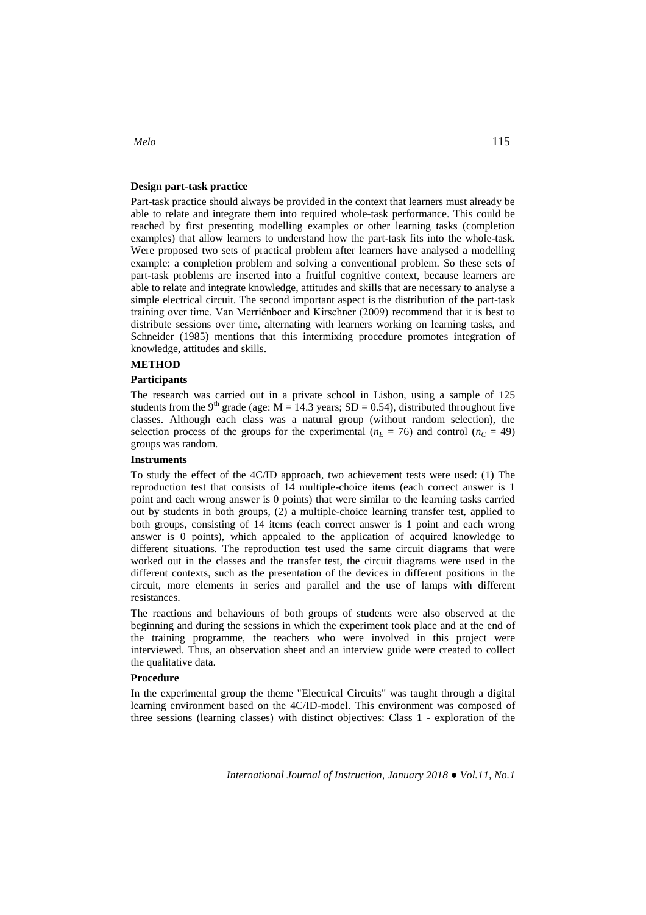## **Design part-task practice**

Part-task practice should always be provided in the context that learners must already be able to relate and integrate them into required whole-task performance. This could be reached by first presenting modelling examples or other learning tasks (completion examples) that allow learners to understand how the part-task fits into the whole-task. Were proposed two sets of practical problem after learners have analysed a modelling example: a completion problem and solving a conventional problem. So these sets of part-task problems are inserted into a fruitful cognitive context, because learners are able to relate and integrate knowledge, attitudes and skills that are necessary to analyse a simple electrical circuit. The second important aspect is the distribution of the part-task training over time. Van Merriënboer and Kirschner (2009) recommend that it is best to distribute sessions over time, alternating with learners working on learning tasks, and Schneider (1985) mentions that this intermixing procedure promotes integration of knowledge, attitudes and skills.

## **METHOD**

### **Participants**

The research was carried out in a private school in Lisbon, using a sample of 125 students from the 9<sup>th</sup> grade (age:  $M = 14.3$  years; SD = 0.54), distributed throughout five classes. Although each class was a natural group (without random selection), the selection process of the groups for the experimental ( $n_E = 76$ ) and control ( $n_C = 49$ ) groups was random.

### **Instruments**

To study the effect of the 4C/ID approach, two achievement tests were used: (1) The reproduction test that consists of 14 multiple-choice items (each correct answer is 1 point and each wrong answer is 0 points) that were similar to the learning tasks carried out by students in both groups, (2) a multiple-choice learning transfer test, applied to both groups, consisting of 14 items (each correct answer is 1 point and each wrong answer is 0 points), which appealed to the application of acquired knowledge to different situations. The reproduction test used the same circuit diagrams that were worked out in the classes and the transfer test, the circuit diagrams were used in the different contexts, such as the presentation of the devices in different positions in the circuit, more elements in series and parallel and the use of lamps with different resistances.

The reactions and behaviours of both groups of students were also observed at the beginning and during the sessions in which the experiment took place and at the end of the training programme, the teachers who were involved in this project were interviewed. Thus, an observation sheet and an interview guide were created to collect the qualitative data.

## **Procedure**

In the experimental group the theme "Electrical Circuits" was taught through a digital learning environment based on the 4C/ID-model. This environment was composed of three sessions (learning classes) with distinct objectives: Class 1 - exploration of the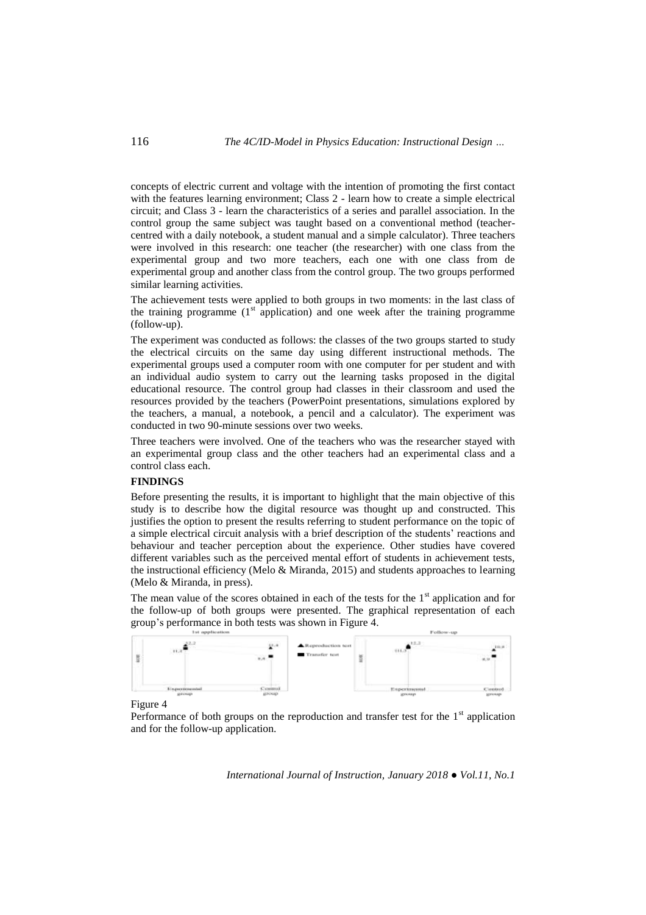concepts of electric current and voltage with the intention of promoting the first contact with the features learning environment; Class 2 - learn how to create a simple electrical circuit; and Class 3 - learn the characteristics of a series and parallel association. In the control group the same subject was taught based on a conventional method (teachercentred with a daily notebook, a student manual and a simple calculator). Three teachers were involved in this research: one teacher (the researcher) with one class from the experimental group and two more teachers, each one with one class from de experimental group and another class from the control group. The two groups performed similar learning activities.

The achievement tests were applied to both groups in two moments: in the last class of the training programme  $(1<sup>st</sup>$  application) and one week after the training programme (follow-up).

The experiment was conducted as follows: the classes of the two groups started to study the electrical circuits on the same day using different instructional methods. The experimental groups used a computer room with one computer for per student and with an individual audio system to carry out the learning tasks proposed in the digital educational resource. The control group had classes in their classroom and used the resources provided by the teachers (PowerPoint presentations, simulations explored by the teachers, a manual, a notebook, a pencil and a calculator). The experiment was conducted in two 90-minute sessions over two weeks.

Three teachers were involved. One of the teachers who was the researcher stayed with an experimental group class and the other teachers had an experimental class and a control class each.

# **FINDINGS**

Before presenting the results, it is important to highlight that the main objective of this study is to describe how the digital resource was thought up and constructed. This justifies the option to present the results referring to student performance on the topic of a simple electrical circuit analysis with a brief description of the students' reactions and behaviour and teacher perception about the experience. Other studies have covered different variables such as the perceived mental effort of students in achievement tests, the instructional efficiency (Melo & Miranda, 2015) and students approaches to learning (Melo & Miranda, in press).

The mean value of the scores obtained in each of the tests for the  $1<sup>st</sup>$  application and for the follow-up of both groups were presented. The graphical representation of each group's performance in both tests was shown in Figure 4.



## Figure 4

Performance of both groups on the reproduction and transfer test for the  $1<sup>st</sup>$  application and for the follow-up application.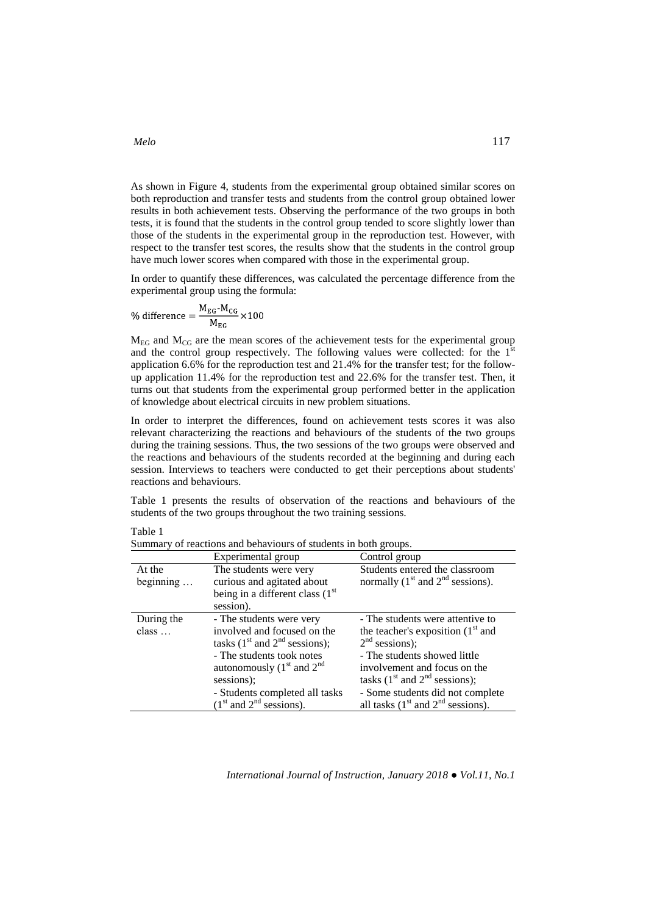As shown in Figure 4, students from the experimental group obtained similar scores on both reproduction and transfer tests and students from the control group obtained lower results in both achievement tests. Observing the performance of the two groups in both tests, it is found that the students in the control group tended to score slightly lower than those of the students in the experimental group in the reproduction test. However, with respect to the transfer test scores, the results show that the students in the control group have much lower scores when compared with those in the experimental group.

In order to quantify these differences, was calculated the percentage difference from the experimental group using the formula:

% difference 
$$
=\frac{M_{EG}-M_{CG}}{M_{EG}} \times 100
$$

 $M_{\text{EG}}$  and  $M_{\text{CG}}$  are the mean scores of the achievement tests for the experimental group and the control group respectively. The following values were collected: for the  $1<sup>st</sup>$ application 6.6% for the reproduction test and 21.4% for the transfer test; for the followup application 11.4% for the reproduction test and 22.6% for the transfer test. Then, it turns out that students from the experimental group performed better in the application of knowledge about electrical circuits in new problem situations.

In order to interpret the differences, found on achievement tests scores it was also relevant characterizing the reactions and behaviours of the students of the two groups during the training sessions. Thus, the two sessions of the two groups were observed and the reactions and behaviours of the students recorded at the beginning and during each session. Interviews to teachers were conducted to get their perceptions about students' reactions and behaviours.

Table 1 presents the results of observation of the reactions and behaviours of the students of the two groups throughout the two training sessions.

Table 1

Summary of reactions and behaviours of students in both groups.

| Duniniai y Of Teachons and benaviours of stadents in both groups. |                                   |                                       |
|-------------------------------------------------------------------|-----------------------------------|---------------------------------------|
|                                                                   | Experimental group                | Control group                         |
| At the                                                            | The students were very            | Students entered the classroom        |
| beginning $\dots$                                                 | curious and agitated about        | normally $(1st$ and $2nd$ sessions).  |
|                                                                   | being in a different class $(1st$ |                                       |
|                                                                   | session).                         |                                       |
| During the                                                        | - The students were very          | - The students were attentive to      |
| class $\dots$                                                     | involved and focused on the       | the teacher's exposition $(1st$ and   |
|                                                                   | tasks $(1st$ and $2nd$ sessions); | $2nd$ sessions);                      |
|                                                                   | - The students took notes         | - The students showed little          |
|                                                                   | autonomously $(1st$ and $2nd$     | involvement and focus on the          |
|                                                                   | sessions);                        | tasks $(1st$ and $2nd$ sessions);     |
|                                                                   | - Students completed all tasks    | - Some students did not complete      |
|                                                                   | $(1st$ and $2nd$ sessions).       | all tasks $(1st$ and $2nd$ sessions). |
|                                                                   |                                   |                                       |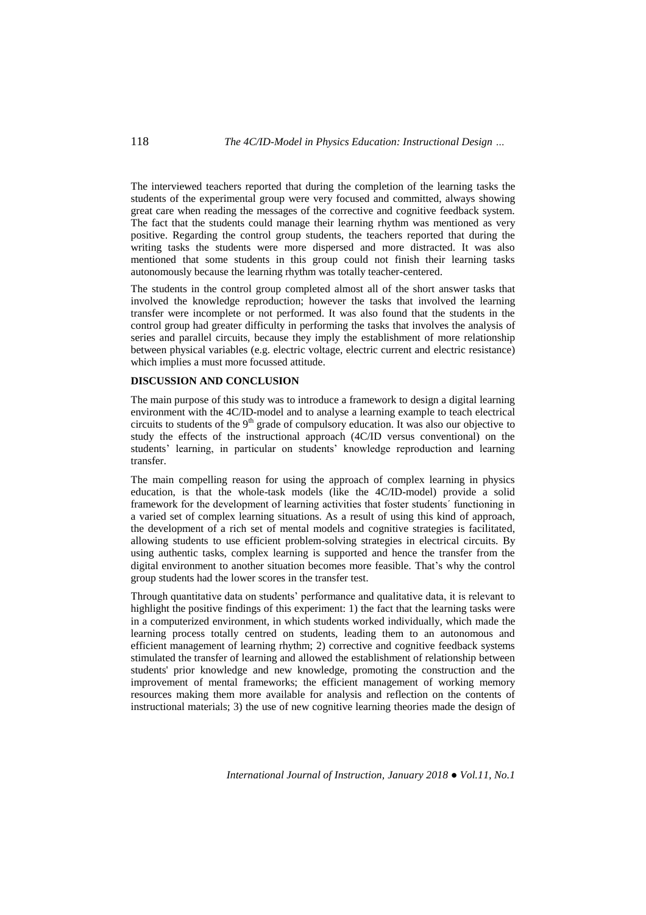The interviewed teachers reported that during the completion of the learning tasks the students of the experimental group were very focused and committed, always showing great care when reading the messages of the corrective and cognitive feedback system. The fact that the students could manage their learning rhythm was mentioned as very positive. Regarding the control group students, the teachers reported that during the writing tasks the students were more dispersed and more distracted. It was also mentioned that some students in this group could not finish their learning tasks autonomously because the learning rhythm was totally teacher-centered.

The students in the control group completed almost all of the short answer tasks that involved the knowledge reproduction; however the tasks that involved the learning transfer were incomplete or not performed. It was also found that the students in the control group had greater difficulty in performing the tasks that involves the analysis of series and parallel circuits, because they imply the establishment of more relationship between physical variables (e.g. electric voltage, electric current and electric resistance) which implies a must more focussed attitude.

## **DISCUSSION AND CONCLUSION**

The main purpose of this study was to introduce a framework to design a digital learning environment with the 4C/ID-model and to analyse a learning example to teach electrical circuits to students of the  $9<sup>th</sup>$  grade of compulsory education. It was also our objective to study the effects of the instructional approach (4C/ID versus conventional) on the students' learning, in particular on students' knowledge reproduction and learning transfer.

The main compelling reason for using the approach of complex learning in physics education, is that the whole-task models (like the 4C/ID-model) provide a solid framework for the development of learning activities that foster students´ functioning in a varied set of complex learning situations. As a result of using this kind of approach, the development of a rich set of mental models and cognitive strategies is facilitated, allowing students to use efficient problem-solving strategies in electrical circuits. By using authentic tasks, complex learning is supported and hence the transfer from the digital environment to another situation becomes more feasible. That's why the control group students had the lower scores in the transfer test.

Through quantitative data on students' performance and qualitative data, it is relevant to highlight the positive findings of this experiment: 1) the fact that the learning tasks were in a computerized environment, in which students worked individually, which made the learning process totally centred on students, leading them to an autonomous and efficient management of learning rhythm; 2) corrective and cognitive feedback systems stimulated the transfer of learning and allowed the establishment of relationship between students' prior knowledge and new knowledge, promoting the construction and the improvement of mental frameworks; the efficient management of working memory resources making them more available for analysis and reflection on the contents of instructional materials; 3) the use of new cognitive learning theories made the design of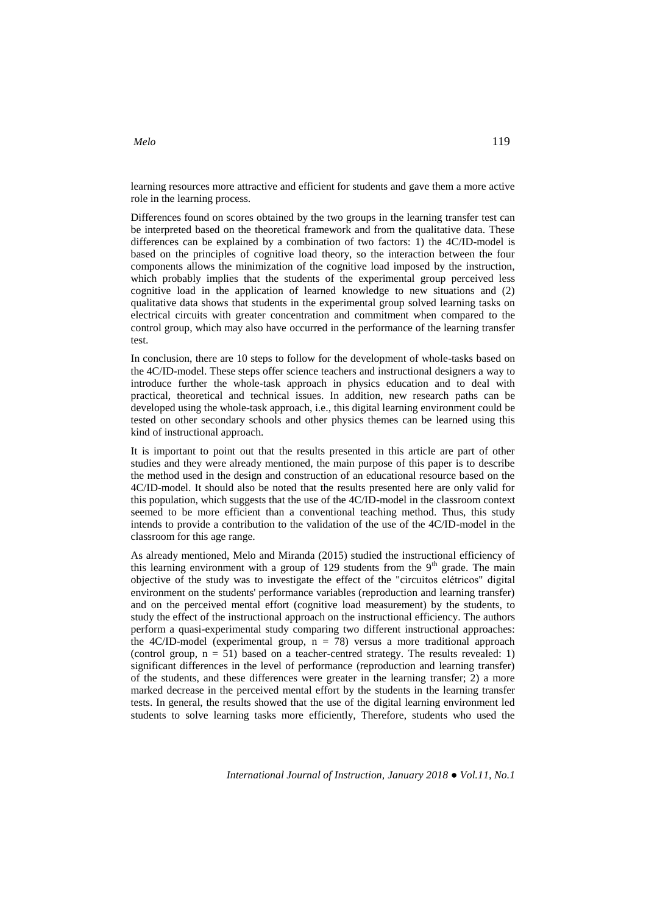## learning resources more attractive and efficient for students and gave them a more active role in the learning process.

Differences found on scores obtained by the two groups in the learning transfer test can be interpreted based on the theoretical framework and from the qualitative data. These differences can be explained by a combination of two factors: 1) the 4C/ID-model is based on the principles of cognitive load theory, so the interaction between the four components allows the minimization of the cognitive load imposed by the instruction, which probably implies that the students of the experimental group perceived less cognitive load in the application of learned knowledge to new situations and (2) qualitative data shows that students in the experimental group solved learning tasks on electrical circuits with greater concentration and commitment when compared to the control group, which may also have occurred in the performance of the learning transfer test.

In conclusion, there are 10 steps to follow for the development of whole-tasks based on the 4C/ID-model. These steps offer science teachers and instructional designers a way to introduce further the whole-task approach in physics education and to deal with practical, theoretical and technical issues. In addition, new research paths can be developed using the whole-task approach, i.e., this digital learning environment could be tested on other secondary schools and other physics themes can be learned using this kind of instructional approach.

It is important to point out that the results presented in this article are part of other studies and they were already mentioned, the main purpose of this paper is to describe the method used in the design and construction of an educational resource based on the 4C/ID-model. It should also be noted that the results presented here are only valid for this population, which suggests that the use of the 4C/ID-model in the classroom context seemed to be more efficient than a conventional teaching method. Thus, this study intends to provide a contribution to the validation of the use of the 4C/ID-model in the classroom for this age range.

As already mentioned, Melo and Miranda (2015) studied the instructional efficiency of this learning environment with a group of 129 students from the  $9<sup>th</sup>$  grade. The main objective of the study was to investigate the effect of the "circuitos elétricos" digital environment on the students' performance variables (reproduction and learning transfer) and on the perceived mental effort (cognitive load measurement) by the students, to study the effect of the instructional approach on the instructional efficiency. The authors perform a quasi-experimental study comparing two different instructional approaches: the 4C/ID-model (experimental group,  $n = 78$ ) versus a more traditional approach (control group,  $n = 51$ ) based on a teacher-centred strategy. The results revealed: 1) significant differences in the level of performance (reproduction and learning transfer) of the students, and these differences were greater in the learning transfer; 2) a more marked decrease in the perceived mental effort by the students in the learning transfer tests. In general, the results showed that the use of the digital learning environment led students to solve learning tasks more efficiently, Therefore, students who used the

*Melo* 119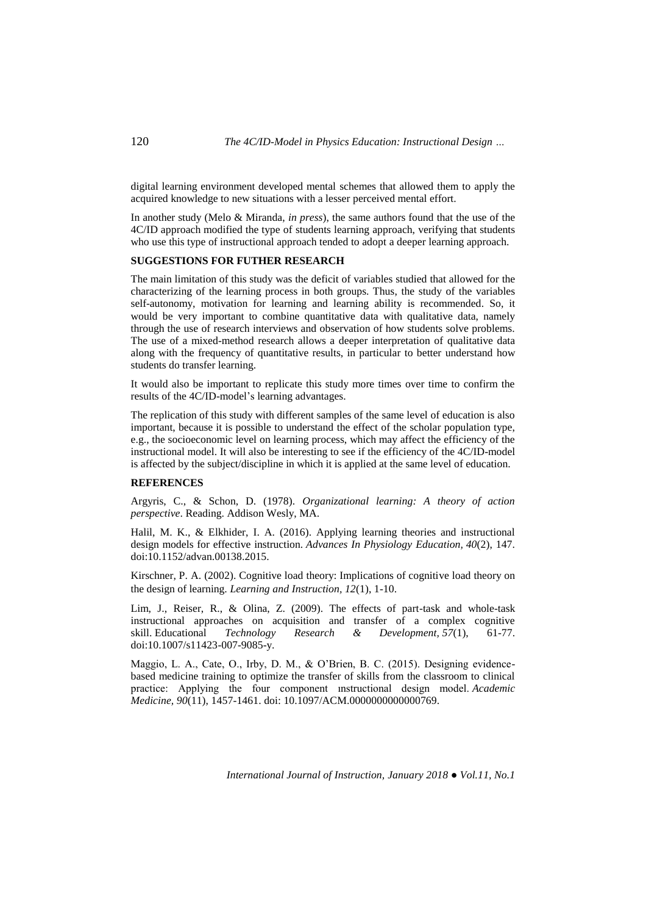digital learning environment developed mental schemes that allowed them to apply the acquired knowledge to new situations with a lesser perceived mental effort.

In another study (Melo & Miranda, *in press*), the same authors found that the use of the 4C/ID approach modified the type of students learning approach, verifying that students who use this type of instructional approach tended to adopt a deeper learning approach.

# **SUGGESTIONS FOR FUTHER RESEARCH**

The main limitation of this study was the deficit of variables studied that allowed for the characterizing of the learning process in both groups. Thus, the study of the variables self-autonomy, motivation for learning and learning ability is recommended. So, it would be very important to combine quantitative data with qualitative data, namely through the use of research interviews and observation of how students solve problems. The use of a mixed-method research allows a deeper interpretation of qualitative data along with the frequency of quantitative results, in particular to better understand how students do transfer learning.

It would also be important to replicate this study more times over time to confirm the results of the 4C/ID-model's learning advantages.

The replication of this study with different samples of the same level of education is also important, because it is possible to understand the effect of the scholar population type, e.g., the socioeconomic level on learning process, which may affect the efficiency of the instructional model. It will also be interesting to see if the efficiency of the 4C/ID-model is affected by the subject/discipline in which it is applied at the same level of education.

## **REFERENCES**

Argyris, C., & Schon, D. (1978). *Organizational learning: A theory of action perspective*. Reading. Addison Wesly, MA.

Halil, M. K., & Elkhider, I. A. (2016). Applying learning theories and instructional design models for effective instruction. *Advances In Physiology Education, 40*(2), 147. doi:10.1152/advan.00138.2015.

Kirschner, P. A. (2002). Cognitive load theory: Implications of cognitive load theory on the design of learning. *Learning and Instruction, 12*(1), 1-10.

Lim, J., Reiser, R., & Olina, Z. (2009). The effects of part-task and whole-task instructional approaches on acquisition and transfer of a complex cognitive skill. Educational *Technology Research & Development, 57*(1), 61-77. doi:10.1007/s11423-007-9085-y.

Maggio, L. A., Cate, O., Irby, D. M., & O'Brien, B. C. (2015). Designing evidencebased medicine training to optimize the transfer of skills from the classroom to clinical practice: Applying the four component ınstructional design model. *Academic Medicine, 90*(11), 1457-1461. doi: 10.1097/ACM.0000000000000769.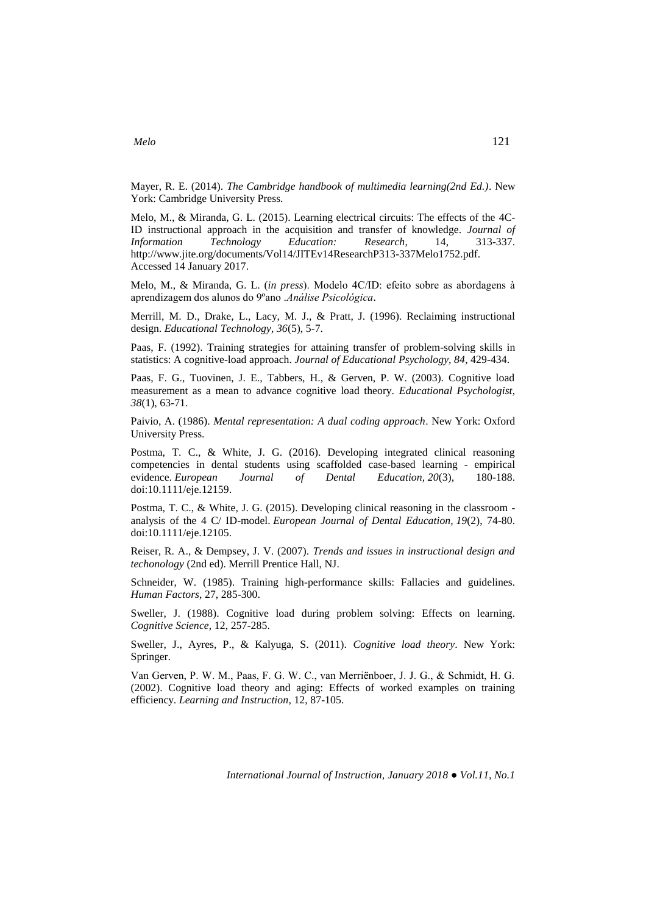Mayer, R. E. (2014). *The Cambridge handbook of multimedia learning(2nd Ed.)*. New York: Cambridge University Press.

Melo, M., & Miranda, G. L. (2015). Learning electrical circuits: The effects of the 4C-ID instructional approach in the acquisition and transfer of knowledge. *Journal of Information Technology Education: Research*, 14, [http://www.jite.org/documents/Vol14/JITEv14ResearchP313-337Melo1752.pdf.](http://www.jite.org/documents/Vol14/JITEv14ResearchP313-337Melo1752.pdf) Accessed 14 January 2017.

Melo, M., & Miranda, G. L. (*in press*). Modelo 4C/ID: efeito sobre as abordagens à aprendizagem dos alunos do 9ºano .*Análise Psicológica*.

Merrill, M. D., Drake, L., Lacy, M. J., & Pratt, J. (1996). Reclaiming instructional design. *Educational Technology, 36*(5), 5-7.

Paas, F. (1992). Training strategies for attaining transfer of problem-solving skills in statistics: A cognitive-load approach. *Journal of Educational Psychology, 84*, 429-434.

Paas, F. G., Tuovinen, J. E., Tabbers, H., & Gerven, P. W. (2003). Cognitive load measurement as a mean to advance cognitive load theory. *Educational Psychologist*, *38*(1), 63-71.

Paivio, A. (1986). *Mental representation: A dual coding approach*. New York: Oxford University Press.

Postma, T. C., & White, J. G. (2016). Developing integrated clinical reasoning competencies in dental students using scaffolded case-based learning - empirical evidence. *European Journal of Dental Education, 20*(3), 180-188. doi:10.1111/eje.12159.

Postma, T. C., & White, J. G. (2015). Developing clinical reasoning in the classroom analysis of the 4 C/ ID-model. *European Journal of Dental Education, 19*(2), 74-80. doi:10.1111/eje.12105.

Reiser, R. A., & Dempsey, J. V. (2007). *Trends and issues in instructional design and techonology* (2nd ed). Merrill Prentice Hall, NJ.

Schneider, W. (1985). Training high-performance skills: Fallacies and guidelines. *Human Factors*, 27, 285-300.

Sweller, J. (1988). Cognitive load during problem solving: Effects on learning. *Cognitive Science*, 12, 257-285.

Sweller, J., Ayres, P., & Kalyuga, S. (2011). *Cognitive load theory*. New York: Springer.

Van Gerven, P. W. M., Paas, F. G. W. C., van Merriënboer, J. J. G., & Schmidt, H. G. (2002). Cognitive load theory and aging: Effects of worked examples on training efficiency. *Learning and Instruction*, 12, 87-105.

*International Journal of Instruction, January 2018 ● Vol.11, No.1*

## *Melo* 121